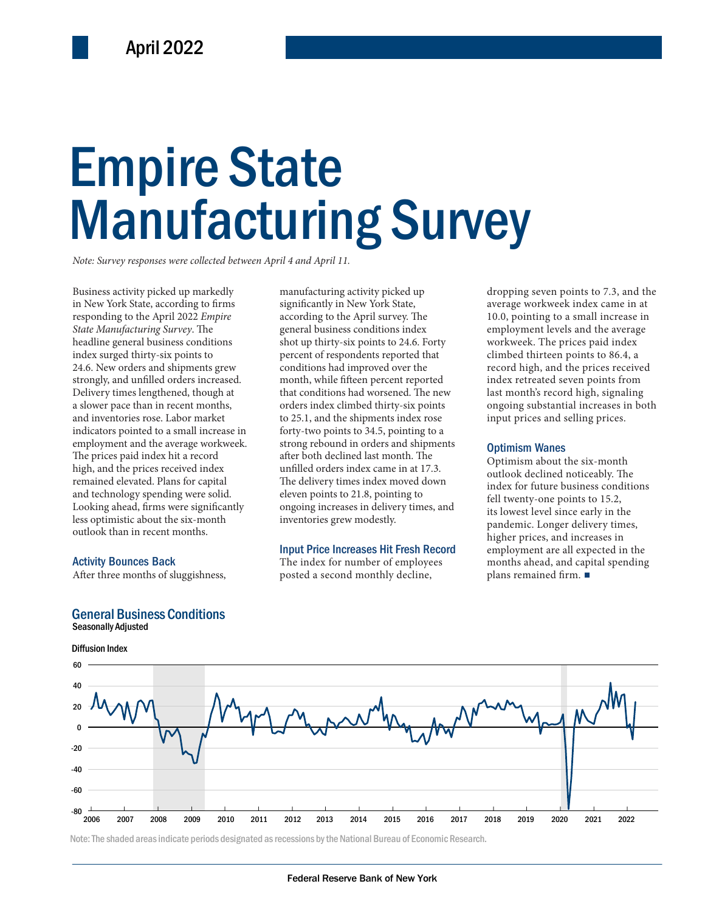# Empire State Empire State Manufacturing Survey Manufacturing Survey

*Note: Survey responses were collected between April 4 and April 11.*

Business activity picked up markedly in New York State, according to firms responding to the April 2022 *Empire State Manufacturing Survey*. The headline general business conditions index surged thirty-six points to 24.6. New orders and shipments grew strongly, and unfilled orders increased. Delivery times lengthened, though at a slower pace than in recent months, and inventories rose. Labor market indicators pointed to a small increase in employment and the average workweek. The prices paid index hit a record high, and the prices received index remained elevated. Plans for capital and technology spending were solid. Looking ahead, firms were significantly less optimistic about the six-month outlook than in recent months.

#### Activity Bounces Back

After three months of sluggishness,

#### General Business Conditions

Seasonally Adjusted



the average workweek. <br>
the average workweek. <br>
1222 12:52 12:52 12:52 12:52 12:52 12:52 12:52 12:52 12:52 12:52 12:52 12:52 12:52 12:52 12:52 12:52 12:52 12:52 12:52 12:52 12:52 12:52 12:52 12:52 12:52 12:52 12:52 12:52 1 manufacturing activity picked up significantly in New York State, according to the April survey. The general business conditions index shot up thirty-six points to 24.6. Forty percent of respondents reported that conditions had improved over the month, while fifteen percent reported that conditions had worsened. The new orders index climbed thirty-six points to 25.1, and the shipments index rose forty-two points to 34.5, pointing to a strong rebound in orders and shipments after both declined last month. The unfilled orders index came in at 17.3. The delivery times index moved down eleven points to 21.8, pointing to ongoing increases in delivery times, and inventories grew modestly.

#### Input Price Increases Hit Fresh Record

The index for number of employees posted a second monthly decline,

dropping seven points to 7.3, and the average workweek index came in at 10.0, pointing to a small increase in employment levels and the average workweek. The prices paid index climbed thirteen points to 86.4, a record high, and the prices received index retreated seven points from last month's record high, signaling ongoing substantial increases in both input prices and selling prices.

#### Optimism Wanes

Optimism about the six-month outlook declined noticeably. The index for future business conditions fell twenty-one points to 15.2, its lowest level since early in the pandemic. Longer delivery times, higher prices, and increases in employment are all expected in the months ahead, and capital spending plans remained firm. ■



Note: The shaded areas indicate periods designated as recessions by the National Bureau of Economic Research.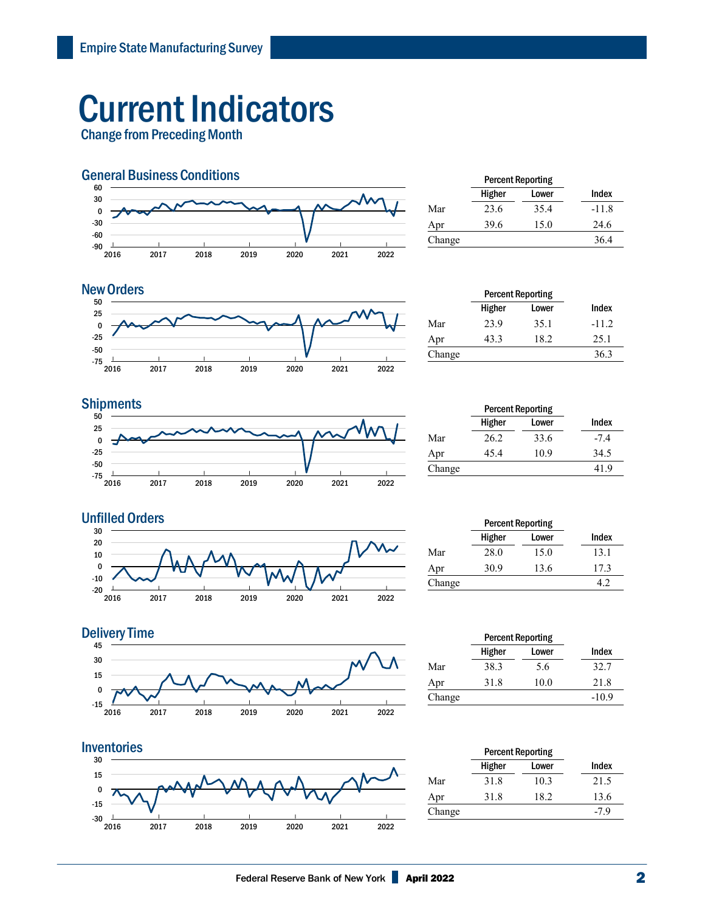## Current Indicators

Change from Preceding Month



|        | <b>Percent Reporting</b> |       |         |
|--------|--------------------------|-------|---------|
|        | Higher                   | Lower | Index   |
| Mar    | 23.6                     | 35.4  | $-11.8$ |
| Apr    | 39.6                     | 15.0  | 24.6    |
| Change |                          |       | 36.4    |

#### **New Orders**



|        | <b>Percent Reporting</b> |       |         |
|--------|--------------------------|-------|---------|
|        | Higher                   | Lower | Index   |
| Mar    | 23.9                     | 35.1  | $-11.2$ |
| Apr    | 43.3                     | 18.2  | 25.1    |
| Change |                          |       | 36.3    |

#### **Shipments**



|        | <b>Percent Reporting</b> |       |        |  |
|--------|--------------------------|-------|--------|--|
|        | Higher                   | Lower | Index  |  |
| Mar    | 26.2                     | 33.6  | $-7.4$ |  |
| Apr    | 45.4                     | 10.9  | 34.5   |  |
| Change |                          |       | 41.9   |  |



|        | <b>Percent Reporting</b> |       |       |
|--------|--------------------------|-------|-------|
|        | Higher                   | Lower | Index |
| Mar    | 28.0                     | 15.0  | 13.1  |
| Apr    | 30.9                     | 13.6  | 17.3  |
| Change |                          |       |       |





|        | <b>Percent Reporting</b> |       |         |  |
|--------|--------------------------|-------|---------|--|
|        | Higher                   | Lower | Index   |  |
| Mar    | 38.3                     | 5.6   | 32.7    |  |
| Apr    | 31.8                     | 10.0  | 21.8    |  |
| Change |                          |       | $-10.9$ |  |
|        |                          |       |         |  |

|        | <b>Percent Reporting</b> |       |        |  |
|--------|--------------------------|-------|--------|--|
|        | Higher                   | Lower | Index  |  |
| Mar    | 31.8                     | 10.3  | 21.5   |  |
| Apr    | 31.8                     | 18.2  | 13.6   |  |
| Change |                          |       | $-7.9$ |  |
|        |                          |       |        |  |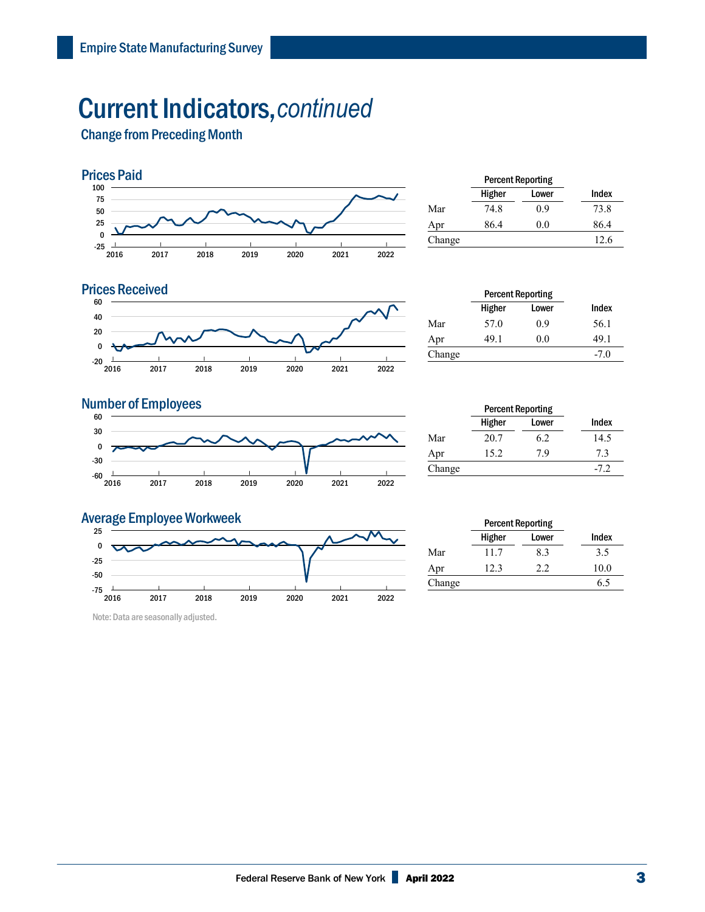### Current Indicators,*continued*

Change from Preceding Month



|        | <b>Percent Reporting</b> |       |       |
|--------|--------------------------|-------|-------|
|        | Higher                   | Lower | Index |
| Mar    | 74.8                     | 0.9   | 73.8  |
| Apr    | 86.4                     | 0.0   | 86.4  |
| Change |                          |       | 12.6  |
|        |                          |       |       |



| <b>Percent Reporting</b> |       |        |
|--------------------------|-------|--------|
| Higher                   | Lower | Index  |
| 57.0                     | 0.9   | 56.1   |
| 49.1                     | 0.0   | 49.1   |
|                          |       | $-7.0$ |
|                          |       |        |

#### **Number of Employees**



|        | <b>Percent Reporting</b> |       |        |
|--------|--------------------------|-------|--------|
|        | Higher                   | Lower | Index  |
| Mar    | 20.7                     | 6.2   | 14.5   |
| Apr    | 15.2                     | 7.9   | 7.3    |
| Change |                          |       | $-7.2$ |

#### Average Employee Workweek



Note: Data are seasonally adjusted.

|        | Higher | <b>Percent Reporting</b><br>Lower | Index |
|--------|--------|-----------------------------------|-------|
| Mar    | 11.7   | 8.3                               | 3.5   |
| Apr    | 12.3   | 2.2                               | 10.0  |
| Change |        |                                   | 6.5   |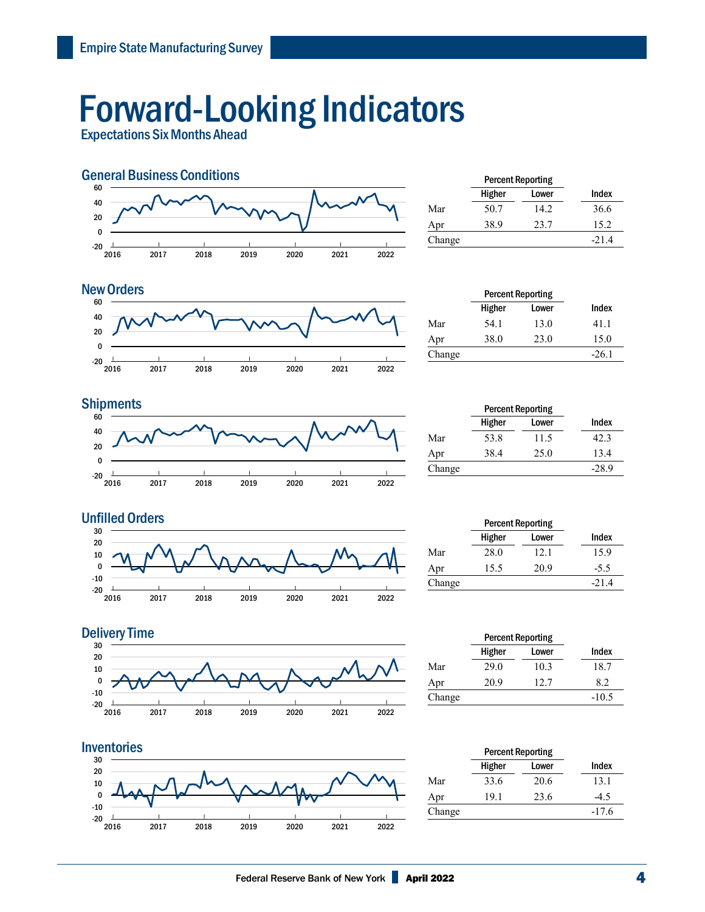## Forward-Looking Indicators

Expectations Six Months Ahead



|        | <b>Percent Reporting</b> |       |         |
|--------|--------------------------|-------|---------|
|        | Higher                   | Lower | Index   |
| Mar    | 50.7                     | 14.2. | 36.6    |
| Apr    | 38.9                     | 23.7  | 15.2    |
| Change |                          |       | $-21.4$ |
|        |                          |       |         |

#### $-20$   $\frac{1}{2016}$ | 2017 | 2018 | 2019 | 2020 | 2021 | 2022 | -20 0 20 40 60 New Orders **Percent Reporting**

|        | <b>Percent Reporting</b> |       |         |
|--------|--------------------------|-------|---------|
|        | Higher                   | Lower | Index   |
| Mar    | 54.1                     | 13.0  | 41.1    |
| Apr    | 38.0                     | 23.0  | 15.0    |
| Change |                          |       | $-26.1$ |



|        | <b>Percent Reporting</b> |       |         |  |
|--------|--------------------------|-------|---------|--|
|        | Higher                   | Lower | Index   |  |
| Mar    | 53.8                     | 11.5  | 42.3    |  |
| Apr    | 38.4                     | 25.0  | 13.4    |  |
| Change |                          |       | $-28.9$ |  |



|        | <b>Percent Reporting</b> |       |         |
|--------|--------------------------|-------|---------|
|        | Higher                   | Lower | Index   |
| Mar    | 28.0                     | 12.1  | 15.9    |
| Apr    | 15.5                     | 20.9  | $-5.5$  |
| Change |                          |       | $-21.4$ |
|        |                          |       |         |







|        | <b>Percent Reporting</b> |       |         |
|--------|--------------------------|-------|---------|
|        | Higher                   | Lower | Index   |
| Mar    | 33.6                     | 20.6  | 13.1    |
| Apr    | 19.1                     | 23.6  | $-4.5$  |
| Change |                          |       | $-17.6$ |
|        |                          |       |         |